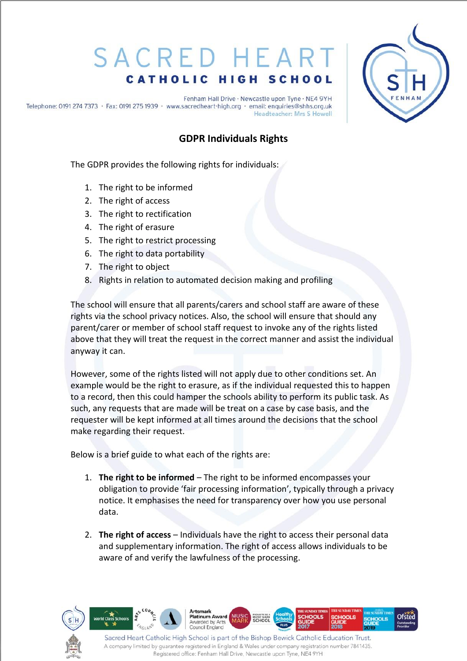## SACRED HEAP **CATHOLIC HIGH SCHOOL**



Fenham Hall Drive · Newcastle upon Tyne · NE4 9YH Telephone: 0191 274 7373 · Fax: 0191 275 1939 · www.sacredheart-high.org · email: enquiries@shhs.org.uk Headteacher: Mrs S Howell

## **GDPR Individuals Rights**

The GDPR provides the following rights for individuals:

- 1. The right to be informed
- 2. The right of access
- 3. The right to rectification
- 4. The right of erasure
- 5. The right to restrict processing
- 6. The right to data portability
- 7. The right to object
- 8. Rights in relation to automated decision making and profiling

The school will ensure that all parents/carers and school staff are aware of these rights via the school privacy notices. Also, the school will ensure that should any parent/carer or member of school staff request to invoke any of the rights listed above that they will treat the request in the correct manner and assist the individual anyway it can.

However, some of the rights listed will not apply due to other conditions set. An example would be the right to erasure, as if the individual requested this to happen to a record, then this could hamper the schools ability to perform its public task. As such, any requests that are made will be treat on a case by case basis, and the requester will be kept informed at all times around the decisions that the school make regarding their request.

Below is a brief guide to what each of the rights are:

- 1. **The right to be informed** The right to be informed encompasses your obligation to provide 'fair processing information', typically through a privacy notice. It emphasises the need for transparency over how you use personal data.
- 2. **The right of access**  Individuals have the right to access their personal data and supplementary information. The right of access allows individuals to be aware of and verify the lawfulness of the processing.